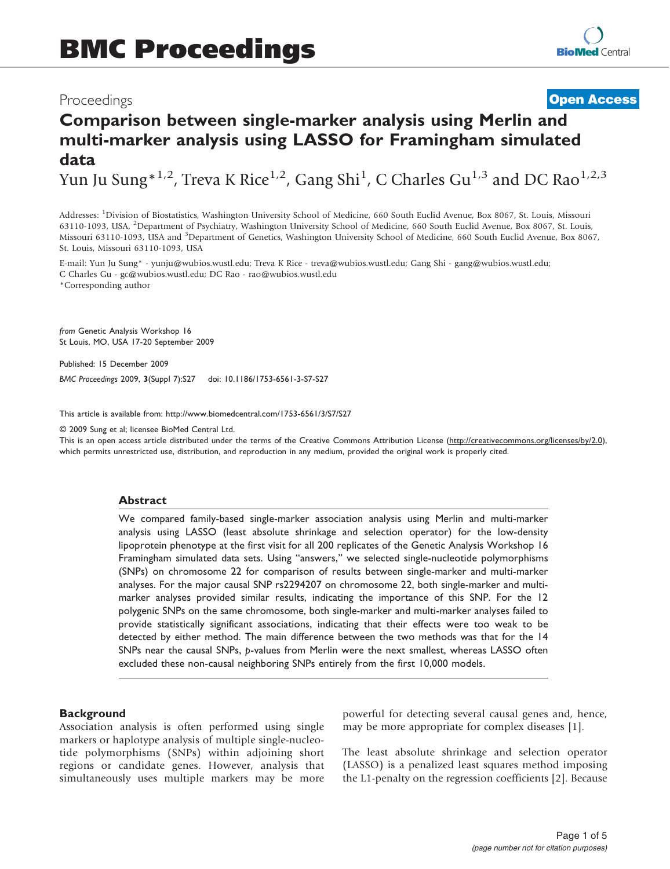## Proceedings

**[Open Access](http://www.biomedcentral.com/info/about/charter/)**

# Comparison between single-marker analysis using Merlin and multi-marker analysis using LASSO for Framingham simulated data

Yun Ju Sung $^{*1,2}$ , Treva K Rice $^{1,2}$ , Gang Shi<sup>1</sup>, C Charles Gu<sup>1,3</sup> and DC Rao $^{1,2,3}$ 

Addresses: <sup>1</sup>Division of Biostatistics, Washington University School of Medicine, 660 South Euclid Avenue, Box 8067, St. Louis, Missouri 63110-1093, USA, <sup>2</sup>Department of Psychiatry, Washington University School of Medicine, 660 South Euclid Avenue, Box 8067, St. Louis, Missouri 63110-1093, USA and <sup>3</sup>Department of Genetics, Washington University School of Medicine, 660 South Euclid Avenue, Box 8067, St. Louis, Missouri 63110-1093, USA

E-mail: Yun Ju Sung\* - [yunju@wubios.wustl.edu](mailto:yunju@wubios.wustl.edu); Treva K Rice - [treva@wubios.wustl.edu](mailto:treva@wubios.wustl.edu); Gang Shi - [gang@wubios.wustl.edu;](mailto:gang@wubios.wustl.edu) C Charles Gu - [gc@wubios.wustl.edu](mailto:gc@wubios.wustl.edu); DC Rao - [rao@wubios.wustl.edu](mailto:rao@wubios.wustl.edu) \*Corresponding author

from Genetic Analysis Workshop 16 St Louis, MO, USA 17-20 September 2009

Published: 15 December 2009

BMC Proceedings 2009, 3(Suppl 7):S27 doi: 10.1186/1753-6561-3-S7-S27

This article is available from: http://www.biomedcentral.com/1753-6561/3/S7/S27

© 2009 Sung et al; licensee BioMed Central Ltd.

This is an open access article distributed under the terms of the Creative Commons Attribution License [\(http://creativecommons.org/licenses/by/2.0\)](http://creativecommons.org/licenses/by/2.0), which permits unrestricted use, distribution, and reproduction in any medium, provided the original work is properly cited.

#### Abstract

We compared family-based single-marker association analysis using Merlin and multi-marker analysis using LASSO (least absolute shrinkage and selection operator) for the low-density lipoprotein phenotype at the first visit for all 200 replicates of the Genetic Analysis Workshop 16 Framingham simulated data sets. Using "answers," we selected single-nucleotide polymorphisms (SNPs) on chromosome 22 for comparison of results between single-marker and multi-marker analyses. For the major causal SNP rs2294207 on chromosome 22, both single-marker and multimarker analyses provided similar results, indicating the importance of this SNP. For the 12 polygenic SNPs on the same chromosome, both single-marker and multi-marker analyses failed to provide statistically significant associations, indicating that their effects were too weak to be detected by either method. The main difference between the two methods was that for the 14 SNPs near the causal SNPs, p-values from Merlin were the next smallest, whereas LASSO often excluded these non-causal neighboring SNPs entirely from the first 10,000 models.

#### **Background**

Association analysis is often performed using single markers or haplotype analysis of multiple single-nucleotide polymorphisms (SNPs) within adjoining short regions or candidate genes. However, analysis that simultaneously uses multiple markers may be more powerful for detecting several causal genes and, hence, may be more appropriate for complex diseases [[1](#page-4-0)].

The least absolute shrinkage and selection operator (LASSO) is a penalized least squares method imposing the L1-penalty on the regression coefficients [[2](#page-4-0)]. Because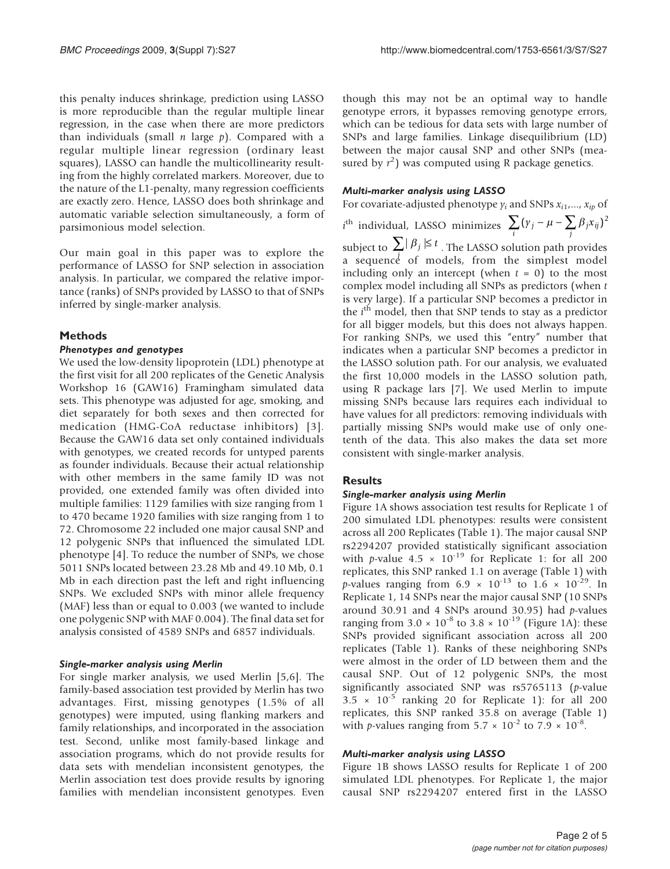this penalty induces shrinkage, prediction using LASSO is more reproducible than the regular multiple linear regression, in the case when there are more predictors than individuals (small  $n$  large  $p$ ). Compared with a regular multiple linear regression (ordinary least squares), LASSO can handle the multicollinearity resulting from the highly correlated markers. Moreover, due to the nature of the L1-penalty, many regression coefficients are exactly zero. Hence, LASSO does both shrinkage and automatic variable selection simultaneously, a form of parsimonious model selection.

Our main goal in this paper was to explore the performance of LASSO for SNP selection in association analysis. In particular, we compared the relative importance (ranks) of SNPs provided by LASSO to that of SNPs inferred by single-marker analysis.

## Methods

## Phenotypes and genotypes

We used the low-density lipoprotein (LDL) phenotype at the first visit for all 200 replicates of the Genetic Analysis Workshop 16 (GAW16) Framingham simulated data sets. This phenotype was adjusted for age, smoking, and diet separately for both sexes and then corrected for medication (HMG-CoA reductase inhibitors) [[3\]](#page-4-0). Because the GAW16 data set only contained individuals with genotypes, we created records for untyped parents as founder individuals. Because their actual relationship with other members in the same family ID was not provided, one extended family was often divided into multiple families: 1129 families with size ranging from 1 to 470 became 1920 families with size ranging from 1 to 72. Chromosome 22 included one major causal SNP and 12 polygenic SNPs that influenced the simulated LDL phenotype [[4](#page-4-0)]. To reduce the number of SNPs, we chose 5011 SNPs located between 23.28 Mb and 49.10 Mb, 0.1 Mb in each direction past the left and right influencing SNPs. We excluded SNPs with minor allele frequency (MAF) less than or equal to 0.003 (we wanted to include one polygenic SNP with MAF 0.004). The final data set for analysis consisted of 4589 SNPs and 6857 individuals.

#### Single-marker analysis using Merlin

For single marker analysis, we used Merlin [[5](#page-4-0),[6\]](#page-4-0). The family-based association test provided by Merlin has two advantages. First, missing genotypes (1.5% of all genotypes) were imputed, using flanking markers and family relationships, and incorporated in the association test. Second, unlike most family-based linkage and association programs, which do not provide results for data sets with mendelian inconsistent genotypes, the Merlin association test does provide results by ignoring families with mendelian inconsistent genotypes. Even

though this may not be an optimal way to handle genotype errors, it bypasses removing genotype errors, which can be tedious for data sets with large number of SNPs and large families. Linkage disequilibrium (LD) between the major causal SNP and other SNPs (measured by  $r^2$ ) was computed using R package genetics.

#### Multi-marker analysis using LASSO

For covariate-adjusted phenotype  $y_i$  and SNPs  $x_{i1},..., x_{ip}$  of

 $i^{\text{th}}$  individual, LASSO minimizes  $\sum_{i} (y_j - \mu - \sum_{j} \beta_j x_{ij})^2$ subject to  $\sum_i |\beta_j| \leq t$ . The LASSO solution path provides a sequence of models, from the simplest model including only an intercept (when  $t = 0$ ) to the most complex model including all SNPs as predictors (when t is very large). If a particular SNP becomes a predictor in the  $i<sup>th</sup>$  model, then that SNP tends to stay as a predictor for all bigger models, but this does not always happen. For ranking SNPs, we used this "entry" number that indicates when a particular SNP becomes a predictor in the LASSO solution path. For our analysis, we evaluated the first 10,000 models in the LASSO solution path, using R package lars [\[7\]](#page-4-0). We used Merlin to impute missing SNPs because lars requires each individual to have values for all predictors: removing individuals with partially missing SNPs would make use of only onetenth of the data. This also makes the data set more consistent with single-marker analysis.

## **Results**

#### Single-marker analysis using Merlin

[Figure 1A](#page-2-0) shows association test results for Replicate 1 of 200 simulated LDL phenotypes: results were consistent across all 200 Replicates ([Table 1\)](#page-2-0). The major causal SNP rs2294207 provided statistically significant association with p-value  $4.5 \times 10^{-19}$  for Replicate 1: for all 200 replicates, this SNP ranked 1.1 on average [\(Table 1](#page-2-0)) with p-values ranging from 6.9  $\times$  10<sup>-13</sup> to 1.6  $\times$  10<sup>-29</sup>. In Replicate 1, 14 SNPs near the major causal SNP (10 SNPs around 30.91 and 4 SNPs around 30.95) had  $p$ -values ranging from  $3.0 \times 10^{-8}$  to  $3.8 \times 10^{-19}$  ([Figure 1A\)](#page-2-0): these SNPs provided significant association across all 200 replicates ([Table 1\)](#page-2-0). Ranks of these neighboring SNPs were almost in the order of LD between them and the causal SNP. Out of 12 polygenic SNPs, the most significantly associated SNP was rs5765113 (p-value  $3.5 \times 10^{-5}$  ranking 20 for Replicate 1): for all 200 replicates, this SNP ranked 35.8 on average ([Table 1](#page-2-0)) with p-values ranging from  $5.7 \times 10^{-2}$  to  $7.9 \times 10^{-8}$ .

#### Multi-marker analysis using LASSO

[Figure 1B](#page-2-0) shows LASSO results for Replicate 1 of 200 simulated LDL phenotypes. For Replicate 1, the major causal SNP rs2294207 entered first in the LASSO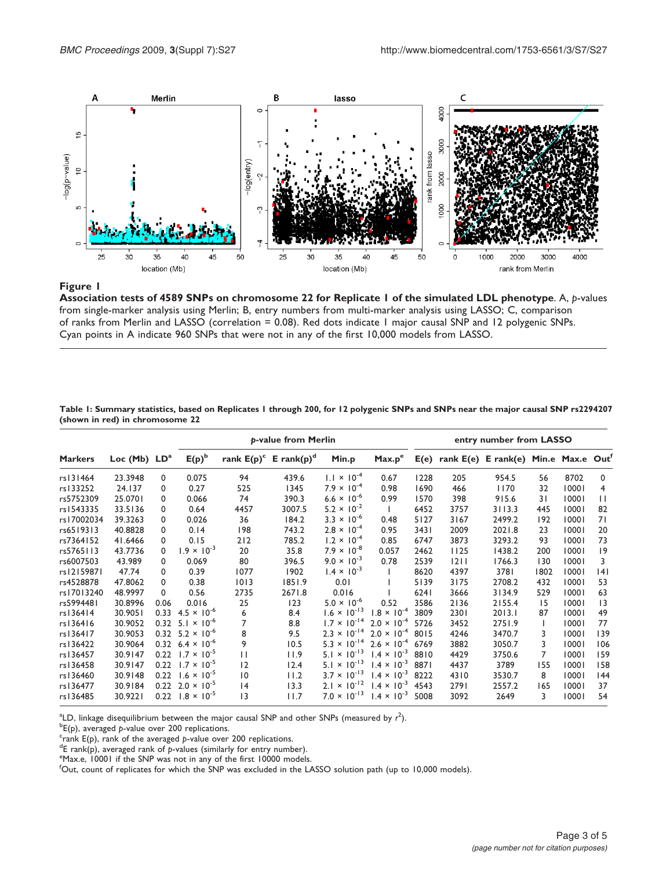<span id="page-2-0"></span>

## Figure 1

Association tests of 4589 SNPs on chromosome 22 for Replicate 1 of the simulated LDL phenotype. A, p-values from single-marker analysis using Merlin; B, entry numbers from multi-marker analysis using LASSO; C, comparison of ranks from Merlin and LASSO (correlation = 0.08). Red dots indicate 1 major causal SNP and 12 polygenic SNPs. Cyan points in A indicate 960 SNPs that were not in any of the first 10,000 models from LASSO.

Table 1: Summary statistics, based on Replicates 1 through 200, for 12 polygenic SNPs and SNPs near the major causal SNP rs2294207 (shown in red) in chromosome 22

|                |                |      | p-value from Merlin                  |                 |                                      |                       |                      | entry number from LASSO |                                               |        |      |       |                 |
|----------------|----------------|------|--------------------------------------|-----------------|--------------------------------------|-----------------------|----------------------|-------------------------|-----------------------------------------------|--------|------|-------|-----------------|
| <b>Markers</b> | Loc (Mb) $LDa$ |      | $E(p)^b$                             |                 | rank $E(p)^c$ E rank(p) <sup>d</sup> | Min.p                 | Max.p <sup>e</sup>   |                         | $E(e)$ rank $E(e)$ E rank(e) Min.e Max.e Out' |        |      |       |                 |
| rs131464       | 23.3948        | 0    | 0.075                                | 94              | 439.6                                | $1.1 \times 10^{-4}$  | 0.67                 | 1228                    | 205                                           | 954.5  | 56   | 8702  | $\Omega$        |
| rs133252       | 24.137         | 0    | 0.27                                 | 525             | 1345                                 | $7.9 \times 10^{-4}$  | 0.98                 | 1690                    | 466                                           | 1170   | 32   | 10001 | 4               |
| rs5752309      | 25.0701        | 0    | 0.066                                | 74              | 390.3                                | $6.6 \times 10^{-6}$  | 0.99                 | 1570                    | 398                                           | 915.6  | 31   | 10001 | $\mathbf{1}$    |
| rs1543335      | 33.5136        | 0    | 0.64                                 | 4457            | 3007.5                               | $5.2 \times 10^{-2}$  |                      | 6452                    | 3757                                          | 3113.3 | 445  | 10001 | 82              |
| rs17002034     | 39.3263        | 0    | 0.026                                | 36              | 184.2                                | $3.3 \times 10^{-6}$  | 0.48                 | 5127                    | 3167                                          | 2499.2 | 192  | 10001 | 71              |
| rs6519313      | 40.8828        | 0    | 0.14                                 | 198             | 743.2                                | $2.8 \times 10^{-4}$  | 0.95                 | 3431                    | 2009                                          | 2021.8 | 23   | 10001 | 20              |
| rs7364152      | 41.6466        | 0    | 0.15                                 | 212             | 785.2                                | $1.2 \times 10^{-4}$  | 0.85                 | 6747                    | 3873                                          | 3293.2 | 93   | 10001 | 73              |
| rs5765113      | 43.7736        | 0    | $1.9 \times 10^{-3}$                 | 20              | 35.8                                 | $7.9 \times 10^{-8}$  | 0.057                | 2462                    | 1125                                          | 1438.2 | 200  | 10001 | 9               |
| rs6007503      | 43.989         | 0    | 0.069                                | 80              | 396.5                                | $9.0 \times 10^{-3}$  | 0.78                 | 2539                    | 1211                                          | 1766.3 | 130  | 10001 | 3               |
| rs12159871     | 47.74          | 0    | 0.39                                 | 1077            | 1902                                 | $1.4 \times 10^{-3}$  |                      | 8620                    | 4397                                          | 3781   | 1802 | 10001 | 4               |
| rs4528878      | 47.8062        | 0    | 0.38                                 | 1013            | 1851.9                               | 0.01                  |                      | 5139                    | 3175                                          | 2708.2 | 432  | 10001 | 53              |
| rs17013240     | 48.9997        | 0    | 0.56                                 | 2735            | 2671.8                               | 0.016                 |                      | 6241                    | 3666                                          | 3134.9 | 529  | 10001 | 63              |
| rs5994481      | 30.8996        | 0.06 | 0.016                                | 25              | 123                                  | $5.0 \times 10^{-6}$  | 0.52                 | 3586                    | 2136                                          | 2155.4 | 15   | 10001 | $\overline{13}$ |
| rs136414       | 30.9051        | 0.33 | $4.5 \times 10^{-6}$                 | 6               | 8.4                                  | $1.6 \times 10^{-13}$ | $1.8 \times 10^{-4}$ | 3809                    | 2301                                          | 2013.1 | 87   | 10001 | 49              |
| rs136416       | 30.9052        | 0.32 | $5.1 \times 10^{-6}$                 | 7               | 8.8                                  | $1.7 \times 10^{-14}$ | $2.0 \times 10^{-4}$ | 5726                    | 3452                                          | 2751.9 |      | 10001 | 77              |
| rs136417       | 30.9053        | 0.32 | $5.2 \times 10^{-6}$                 | 8               | 9.5                                  | $2.3 \times 10^{-14}$ | $2.0 \times 10^{-4}$ | 8015                    | 4246                                          | 3470.7 | 3    | 10001 | 139             |
| rs136422       | 30.9064        |      | $0.32 \quad 6.4 \times 10^{-6}$      | 9               | 10.5                                 | $5.3 \times 10^{-14}$ | $2.6 \times 10^{-4}$ | 6769                    | 3882                                          | 3050.7 | 3    | 10001 | 106             |
| rs136457       | 30.9147        |      | $0.22$ 1.7 $\times$ 10 <sup>-5</sup> | П               | 11.9                                 | $5.1 \times 10^{-13}$ | $1.4 \times 10^{-3}$ | 8810                    | 4429                                          | 3750.6 | 7    | 10001 | 159             |
| rs136458       | 30.9147        | 0.22 | $1.7 \times 10^{-5}$                 | $\overline{2}$  | 12.4                                 | $5.1 \times 10^{-13}$ | $1.4 \times 10^{-3}$ | 8871                    | 4437                                          | 3789   | 155  | 10001 | 158             |
| rs136460       | 30.9148        | 0.22 | $1.6 \times 10^{-5}$                 | $\overline{10}$ | 11.2                                 | $3.7 \times 10^{-13}$ | $1.4 \times 10^{-3}$ | 8222                    | 4310                                          | 3530.7 | 8    | 10001 | 144             |
| rs136477       | 30.9184        |      | $0.22$ 2.0 $\times$ 10 <sup>-5</sup> | 4               | 13.3                                 | $2.1 \times 10^{-12}$ | $1.4 \times 10^{-3}$ | 4543                    | 2791                                          | 2557.2 | 165  | 10001 | 37              |
| rs136485       | 30.9221        |      | $0.22$ 1.8 $\times$ 10 <sup>-5</sup> | 3               | 11.7                                 | $7.0 \times 10^{-13}$ | $1.4 \times 10^{-3}$ | 5008                    | 3092                                          | 2649   | 3    | 10001 | 54              |

<sup>a</sup>LD, linkage disequilibrium between the major causal SNP and other SNPs (measured by  $r^2$ ).

 ${}^{b}E(p)$ , averaged p-value over 200 replications.

 $c$ <sup>c</sup>rank E(p), rank of the averaged p-value over 200 replications.

 $\text{E}$  rank(p), averaged rank of p-values (similarly for entry number).

eMax.e, 10001 if the SNP was not in any of the first 10000 models.

f Out, count of replicates for which the SNP was excluded in the LASSO solution path (up to 10,000 models).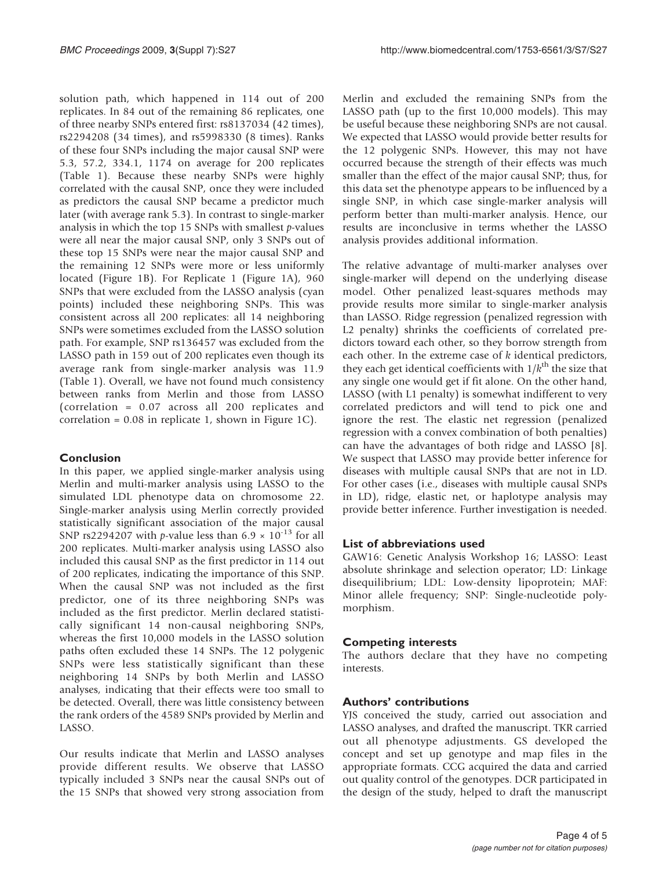solution path, which happened in 114 out of 200 replicates. In 84 out of the remaining 86 replicates, one of three nearby SNPs entered first: rs8137034 (42 times), rs2294208 (34 times), and rs5998330 (8 times). Ranks of these four SNPs including the major causal SNP were 5.3, 57.2, 334.1, 1174 on average for 200 replicates [\(Table 1\)](#page-2-0). Because these nearby SNPs were highly correlated with the causal SNP, once they were included as predictors the causal SNP became a predictor much later (with average rank 5.3). In contrast to single-marker analysis in which the top 15 SNPs with smallest  $p$ -values were all near the major causal SNP, only 3 SNPs out of these top 15 SNPs were near the major causal SNP and the remaining 12 SNPs were more or less uniformly located ([Figure 1B](#page-2-0)). For Replicate 1 ([Figure 1A](#page-2-0)), 960 SNPs that were excluded from the LASSO analysis (cyan points) included these neighboring SNPs. This was consistent across all 200 replicates: all 14 neighboring SNPs were sometimes excluded from the LASSO solution path. For example, SNP rs136457 was excluded from the LASSO path in 159 out of 200 replicates even though its average rank from single-marker analysis was 11.9 [\(Table 1\)](#page-2-0). Overall, we have not found much consistency between ranks from Merlin and those from LASSO (correlation = 0.07 across all 200 replicates and correlation = 0.08 in replicate 1, shown in [Figure 1C](#page-2-0)).

## Conclusion

In this paper, we applied single-marker analysis using Merlin and multi-marker analysis using LASSO to the simulated LDL phenotype data on chromosome 22. Single-marker analysis using Merlin correctly provided statistically significant association of the major causal SNP rs2294207 with p-value less than  $6.9 \times 10^{-13}$  for all 200 replicates. Multi-marker analysis using LASSO also included this causal SNP as the first predictor in 114 out of 200 replicates, indicating the importance of this SNP. When the causal SNP was not included as the first predictor, one of its three neighboring SNPs was included as the first predictor. Merlin declared statistically significant 14 non-causal neighboring SNPs, whereas the first 10,000 models in the LASSO solution paths often excluded these 14 SNPs. The 12 polygenic SNPs were less statistically significant than these neighboring 14 SNPs by both Merlin and LASSO analyses, indicating that their effects were too small to be detected. Overall, there was little consistency between the rank orders of the 4589 SNPs provided by Merlin and LASSO.

Our results indicate that Merlin and LASSO analyses provide different results. We observe that LASSO typically included 3 SNPs near the causal SNPs out of the 15 SNPs that showed very strong association from

Merlin and excluded the remaining SNPs from the LASSO path (up to the first 10,000 models). This may be useful because these neighboring SNPs are not causal. We expected that LASSO would provide better results for the 12 polygenic SNPs. However, this may not have occurred because the strength of their effects was much smaller than the effect of the major causal SNP; thus, for this data set the phenotype appears to be influenced by a single SNP, in which case single-marker analysis will perform better than multi-marker analysis. Hence, our results are inconclusive in terms whether the LASSO analysis provides additional information.

The relative advantage of multi-marker analyses over single-marker will depend on the underlying disease model. Other penalized least-squares methods may provide results more similar to single-marker analysis than LASSO. Ridge regression (penalized regression with L2 penalty) shrinks the coefficients of correlated predictors toward each other, so they borrow strength from each other. In the extreme case of  $k$  identical predictors, they each get identical coefficients with  $1/k<sup>th</sup>$  the size that any single one would get if fit alone. On the other hand, LASSO (with L1 penalty) is somewhat indifferent to very correlated predictors and will tend to pick one and ignore the rest. The elastic net regression (penalized regression with a convex combination of both penalties) can have the advantages of both ridge and LASSO [[8](#page-4-0)]. We suspect that LASSO may provide better inference for diseases with multiple causal SNPs that are not in LD. For other cases (i.e., diseases with multiple causal SNPs in LD), ridge, elastic net, or haplotype analysis may provide better inference. Further investigation is needed.

## List of abbreviations used

GAW16: Genetic Analysis Workshop 16; LASSO: Least absolute shrinkage and selection operator; LD: Linkage disequilibrium; LDL: Low-density lipoprotein; MAF: Minor allele frequency; SNP: Single-nucleotide polymorphism.

## Competing interests

The authors declare that they have no competing interests.

## Authors' contributions

YJS conceived the study, carried out association and LASSO analyses, and drafted the manuscript. TKR carried out all phenotype adjustments. GS developed the concept and set up genotype and map files in the appropriate formats. CCG acquired the data and carried out quality control of the genotypes. DCR participated in the design of the study, helped to draft the manuscript